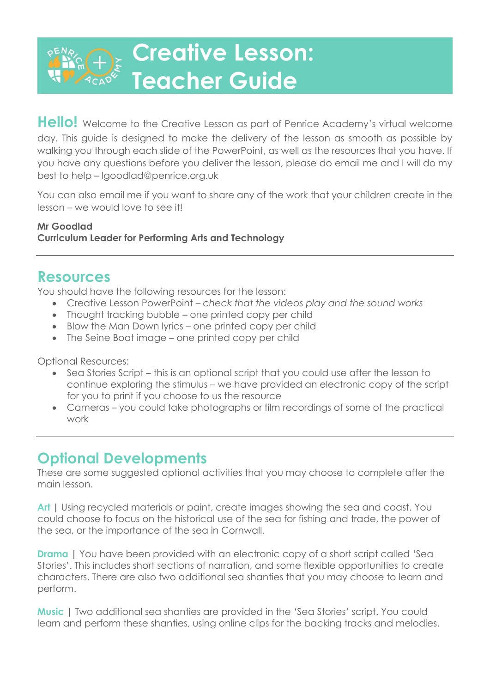# **Creative Lesson: Teacher Guide**

**Hello!** Welcome to the Creative Lesson as part of Penrice Academy's virtual welcome day. This guide is designed to make the delivery of the lesson as smooth as possible by walking you through each slide of the PowerPoint, as well as the resources that you have. If you have any questions before you deliver the lesson, please do email me and I will do my best to help – lgoodlad@penrice.org.uk

You can also email me if you want to share any of the work that your children create in the lesson – we would love to see it!

#### **Mr Goodlad Curriculum Leader for Performing Arts and Technology**

#### **Resources**

You should have the following resources for the lesson:

- Creative Lesson PowerPoint *check that the videos play and the sound works*
- Thought tracking bubble one printed copy per child
- Blow the Man Down lyrics one printed copy per child
- The Seine Boat image one printed copy per child

Optional Resources:

- Sea Stories Script this is an optional script that you could use after the lesson to continue exploring the stimulus – we have provided an electronic copy of the script for you to print if you choose to us the resource
- Cameras you could take photographs or film recordings of some of the practical work

### **Optional Developments**

These are some suggested optional activities that you may choose to complete after the main lesson.

Art | Using recycled materials or paint, create images showing the sea and coast. You could choose to focus on the historical use of the sea for fishing and trade, the power of the sea, or the importance of the sea in Cornwall.

**Drama** I You have been provided with an electronic copy of a short script called 'Sea Stories'. This includes short sections of narration, and some flexible opportunities to create characters. There are also two additional sea shanties that you may choose to learn and perform.

**Music |** Two additional sea shanties are provided in the 'Sea Stories' script. You could learn and perform these shanties, using online clips for the backing tracks and melodies.